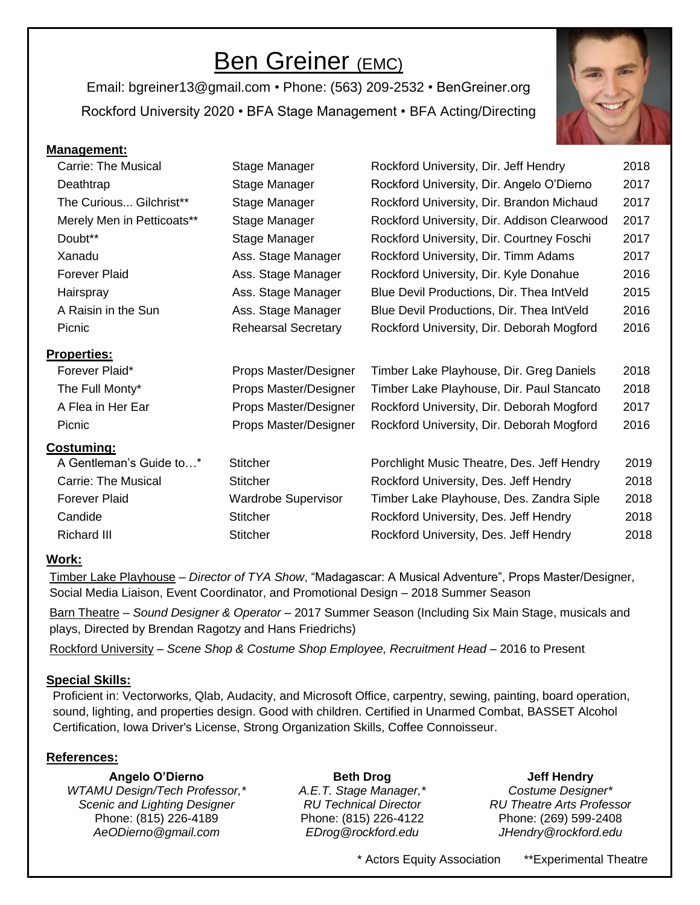## Ben Greiner (EMC)

Email: bgreiner13@gmail.com • Phone: (563) 209-2532 • BenGreiner.org Rockford University 2020 • BFA Stage Management • BFA Acting/Directing



| Carrie: The Musical        | Stage Manager              | Rockford University, Dir. Jeff Hendry       | 2018 |
|----------------------------|----------------------------|---------------------------------------------|------|
| Deathtrap                  | Stage Manager              | Rockford University, Dir. Angelo O'Dierno   | 2017 |
| The Curious Gilchrist**    | Stage Manager              | Rockford University, Dir. Brandon Michaud   | 2017 |
| Merely Men in Petticoats** | Stage Manager              | Rockford University, Dir. Addison Clearwood | 2017 |
| Doubt**                    | Stage Manager              | Rockford University, Dir. Courtney Foschi   | 2017 |
| Xanadu                     | Ass. Stage Manager         | Rockford University, Dir. Timm Adams        | 2017 |
| <b>Forever Plaid</b>       | Ass. Stage Manager         | Rockford University, Dir. Kyle Donahue      | 2016 |
| Hairspray                  | Ass. Stage Manager         | Blue Devil Productions, Dir. Thea IntVeld   | 2015 |
| A Raisin in the Sun        | Ass. Stage Manager         | Blue Devil Productions, Dir. Thea IntVeld   | 2016 |
| Picnic                     | <b>Rehearsal Secretary</b> | Rockford University, Dir. Deborah Mogford   | 2016 |
| <b>Properties:</b>         |                            |                                             |      |
| Forever Plaid*             | Props Master/Designer      | Timber Lake Playhouse, Dir. Greg Daniels    | 2018 |
| The Full Monty*            | Props Master/Designer      | Timber Lake Playhouse, Dir. Paul Stancato   | 2018 |
| A Flea in Her Ear          | Props Master/Designer      | Rockford University, Dir. Deborah Mogford   | 2017 |
| Picnic                     | Props Master/Designer      | Rockford University, Dir. Deborah Mogford   | 2016 |
| <b>Costuming:</b>          |                            |                                             |      |
| A Gentleman's Guide to*    | <b>Stitcher</b>            | Porchlight Music Theatre, Des. Jeff Hendry  | 2019 |
| <b>Carrie: The Musical</b> | <b>Stitcher</b>            | Rockford University, Des. Jeff Hendry       | 2018 |
| <b>Forever Plaid</b>       | <b>Wardrobe Supervisor</b> | Timber Lake Playhouse, Des. Zandra Siple    | 2018 |
| Candide                    | <b>Stitcher</b>            | Rockford University, Des. Jeff Hendry       | 2018 |
| Richard III                | <b>Stitcher</b>            | Rockford University, Des. Jeff Hendry       | 2018 |
|                            |                            |                                             |      |

#### **Work:**

**Management:**

Timber Lake Playhouse – *Director of TYA Show*, "Madagascar: A Musical Adventure", Props Master/Designer, Social Media Liaison, Event Coordinator, and Promotional Design – 2018 Summer Season

Barn Theatre – *Sound Designer & Operator* – 2017 Summer Season (Including Six Main Stage, musicals and plays, Directed by Brendan Ragotzy and Hans Friedrichs)

Rockford University – *Scene Shop & Costume Shop Employee, Recruitment Head* – 2016 to Present

#### **Special Skills:**

 Proficient in: Vectorworks, Qlab, Audacity, and Microsoft Office, carpentry, sewing, painting, board operation, sound, lighting, and properties design. Good with children. Certified in Unarmed Combat, BASSET Alcohol Certification, Iowa Driver's License, Strong Organization Skills, Coffee Connoisseur.

#### **References:**

**Angelo O'Dierno** *WTAMU Design/Tech Professor,\* Scenic and Lighting Designer* Phone: (815) 226-4189 *AeODierno@gmail.com*

**Beth Drog** *A.E.T. Stage Manager,\* RU Technical Director* Phone: (815) 226-4122 *EDrog@rockford.edu*

### **Jeff Hendry**

*Costume Designer\* RU Theatre Arts Professor* Phone: (269) 599-2408 *JHendry@rockford.edu*

\* Actors Equity Association \*\*Experimental Theatre